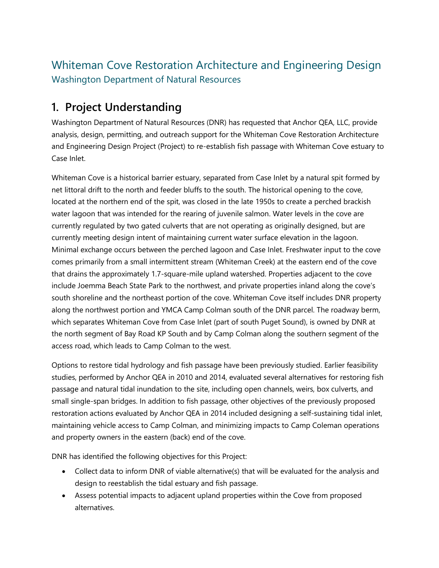# Whiteman Cove Restoration Architecture and Engineering Design Washington Department of Natural Resources

# **1. Project Understanding**

Washington Department of Natural Resources (DNR) has requested that Anchor QEA, LLC, provide analysis, design, permitting, and outreach support for the Whiteman Cove Restoration Architecture and Engineering Design Project (Project) to re-establish fish passage with Whiteman Cove estuary to Case Inlet.

Whiteman Cove is a historical barrier estuary, separated from Case Inlet by a natural spit formed by net littoral drift to the north and feeder bluffs to the south. The historical opening to the cove, located at the northern end of the spit, was closed in the late 1950s to create a perched brackish water lagoon that was intended for the rearing of juvenile salmon. Water levels in the cove are currently regulated by two gated culverts that are not operating as originally designed, but are currently meeting design intent of maintaining current water surface elevation in the lagoon. Minimal exchange occurs between the perched lagoon and Case Inlet. Freshwater input to the cove comes primarily from a small intermittent stream (Whiteman Creek) at the eastern end of the cove that drains the approximately 1.7-square-mile upland watershed. Properties adjacent to the cove include Joemma Beach State Park to the northwest, and private properties inland along the cove's south shoreline and the northeast portion of the cove. Whiteman Cove itself includes DNR property along the northwest portion and YMCA Camp Colman south of the DNR parcel. The roadway berm, which separates Whiteman Cove from Case Inlet (part of south Puget Sound), is owned by DNR at the north segment of Bay Road KP South and by Camp Colman along the southern segment of the access road, which leads to Camp Colman to the west.

Options to restore tidal hydrology and fish passage have been previously studied. Earlier feasibility studies, performed by Anchor QEA in 2010 and 2014, evaluated several alternatives for restoring fish passage and natural tidal inundation to the site, including open channels, weirs, box culverts, and small single-span bridges. In addition to fish passage, other objectives of the previously proposed restoration actions evaluated by Anchor QEA in 2014 included designing a self-sustaining tidal inlet, maintaining vehicle access to Camp Colman, and minimizing impacts to Camp Coleman operations and property owners in the eastern (back) end of the cove.

DNR has identified the following objectives for this Project:

- Collect data to inform DNR of viable alternative(s) that will be evaluated for the analysis and design to reestablish the tidal estuary and fish passage.
- Assess potential impacts to adjacent upland properties within the Cove from proposed alternatives.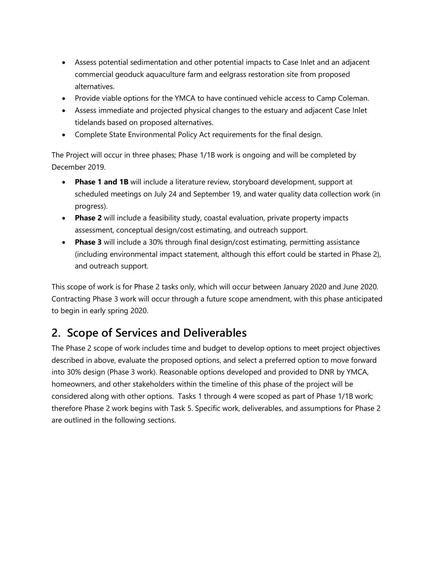- Assess potential sedimentation and other potential impacts to Case Inlet and an adjacent commercial geoduck aquaculture farm and eelgrass restoration site from proposed alternatives.
- Provide viable options for the YMCA to have continued vehicle access to Camp Coleman.
- Assess immediate and projected physical changes to the estuary and adjacent Case Inlet tidelands based on proposed alternatives.
- Complete State Environmental Policy Act requirements for the final design.

The Project will occur in three phases; Phase 1/1B work is ongoing and will be completed by December 2019.

- **Phase 1 and 1B** will include a literature review, storyboard development, support at scheduled meetings on July 24 and September 19, and water quality data collection work (in progress).
- **Phase 2** will include a feasibility study, coastal evaluation, private property impacts assessment, conceptual design/cost estimating, and outreach support.
- **Phase 3** will include a 30% through final design/cost estimating, permitting assistance (including environmental impact statement, although this effort could be started in Phase 2), and outreach support.

This scope of work is for Phase 2 tasks only, which will occur between January 2020 and June 2020. Contracting Phase 3 work will occur through a future scope amendment, with this phase anticipated to begin in early spring 2020.

# **2. Scope of Services and Deliverables**

The Phase 2 scope of work includes time and budget to develop options to meet project objectives described in above, evaluate the proposed options, and select a preferred option to move forward into 30% design (Phase 3 work). Reasonable options developed and provided to DNR by YMCA, homeowners, and other stakeholders within the timeline of this phase of the project will be considered along with other options. Tasks 1 through 4 were scoped as part of Phase 1/1B work; therefore Phase 2 work begins with Task 5. Specific work, deliverables, and assumptions for Phase 2 are outlined in the following sections.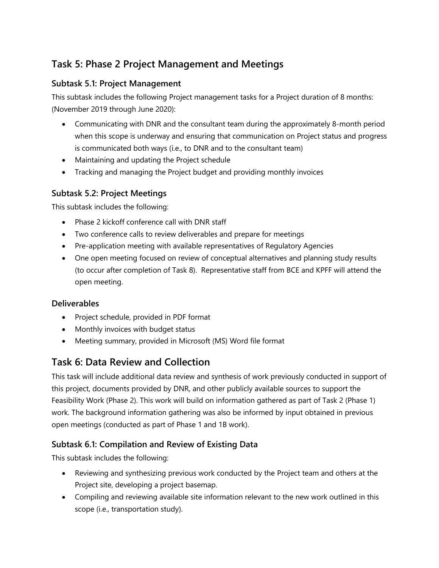# **Task 5: Phase 2 Project Management and Meetings**

#### **Subtask 5.1: Project Management**

This subtask includes the following Project management tasks for a Project duration of 8 months: (November 2019 through June 2020):

- Communicating with DNR and the consultant team during the approximately 8-month period when this scope is underway and ensuring that communication on Project status and progress is communicated both ways (i.e., to DNR and to the consultant team)
- Maintaining and updating the Project schedule
- Tracking and managing the Project budget and providing monthly invoices

#### **Subtask 5.2: Project Meetings**

This subtask includes the following:

- Phase 2 kickoff conference call with DNR staff
- Two conference calls to review deliverables and prepare for meetings
- Pre-application meeting with available representatives of Regulatory Agencies
- One open meeting focused on review of conceptual alternatives and planning study results (to occur after completion of Task 8). Representative staff from BCE and KPFF will attend the open meeting.

#### **Deliverables**

- Project schedule, provided in PDF format
- Monthly invoices with budget status
- Meeting summary, provided in Microsoft (MS) Word file format

## **Task 6: Data Review and Collection**

This task will include additional data review and synthesis of work previously conducted in support of this project, documents provided by DNR, and other publicly available sources to support the Feasibility Work (Phase 2). This work will build on information gathered as part of Task 2 (Phase 1) work. The background information gathering was also be informed by input obtained in previous open meetings (conducted as part of Phase 1 and 1B work).

#### **Subtask 6.1: Compilation and Review of Existing Data**

This subtask includes the following:

- Reviewing and synthesizing previous work conducted by the Project team and others at the Project site, developing a project basemap.
- Compiling and reviewing available site information relevant to the new work outlined in this scope (i.e., transportation study).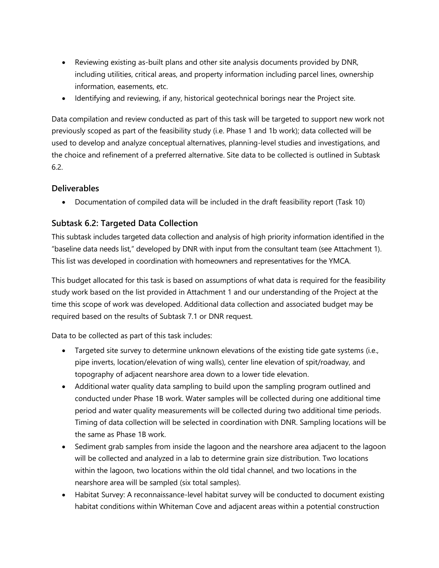- Reviewing existing as-built plans and other site analysis documents provided by DNR, including utilities, critical areas, and property information including parcel lines, ownership information, easements, etc.
- Identifying and reviewing, if any, historical geotechnical borings near the Project site.

Data compilation and review conducted as part of this task will be targeted to support new work not previously scoped as part of the feasibility study (i.e. Phase 1 and 1b work); data collected will be used to develop and analyze conceptual alternatives, planning-level studies and investigations, and the choice and refinement of a preferred alternative. Site data to be collected is outlined in Subtask 6.2.

#### **Deliverables**

Documentation of compiled data will be included in the draft feasibility report (Task 10)

### **Subtask 6.2: Targeted Data Collection**

This subtask includes targeted data collection and analysis of high priority information identified in the "baseline data needs list," developed by DNR with input from the consultant team (see Attachment 1). This list was developed in coordination with homeowners and representatives for the YMCA.

This budget allocated for this task is based on assumptions of what data is required for the feasibility study work based on the list provided in Attachment 1 and our understanding of the Project at the time this scope of work was developed. Additional data collection and associated budget may be required based on the results of Subtask 7.1 or DNR request.

Data to be collected as part of this task includes:

- Targeted site survey to determine unknown elevations of the existing tide gate systems (i.e., pipe inverts, location/elevation of wing walls), center line elevation of spit/roadway, and topography of adjacent nearshore area down to a lower tide elevation.
- Additional water quality data sampling to build upon the sampling program outlined and conducted under Phase 1B work. Water samples will be collected during one additional time period and water quality measurements will be collected during two additional time periods. Timing of data collection will be selected in coordination with DNR. Sampling locations will be the same as Phase 1B work.
- Sediment grab samples from inside the lagoon and the nearshore area adjacent to the lagoon will be collected and analyzed in a lab to determine grain size distribution. Two locations within the lagoon, two locations within the old tidal channel, and two locations in the nearshore area will be sampled (six total samples).
- Habitat Survey: A reconnaissance-level habitat survey will be conducted to document existing habitat conditions within Whiteman Cove and adjacent areas within a potential construction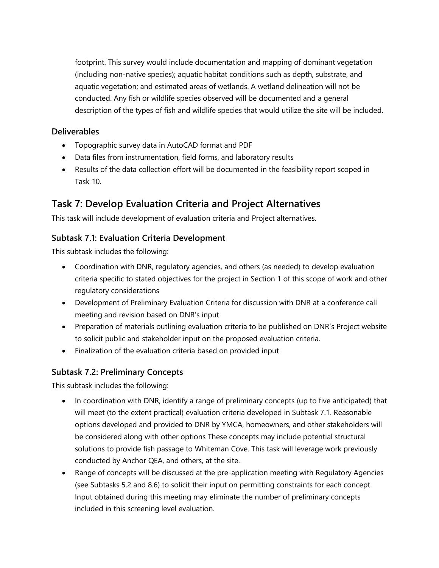footprint. This survey would include documentation and mapping of dominant vegetation (including non-native species); aquatic habitat conditions such as depth, substrate, and aquatic vegetation; and estimated areas of wetlands. A wetland delineation will not be conducted. Any fish or wildlife species observed will be documented and a general description of the types of fish and wildlife species that would utilize the site will be included.

#### **Deliverables**

- Topographic survey data in AutoCAD format and PDF
- Data files from instrumentation, field forms, and laboratory results
- Results of the data collection effort will be documented in the feasibility report scoped in Task 10.

# **Task 7: Develop Evaluation Criteria and Project Alternatives**

This task will include development of evaluation criteria and Project alternatives.

#### **Subtask 7.1: Evaluation Criteria Development**

This subtask includes the following:

- Coordination with DNR, regulatory agencies, and others (as needed) to develop evaluation criteria specific to stated objectives for the project in Section 1 of this scope of work and other regulatory considerations
- Development of Preliminary Evaluation Criteria for discussion with DNR at a conference call meeting and revision based on DNR's input
- Preparation of materials outlining evaluation criteria to be published on DNR's Project website to solicit public and stakeholder input on the proposed evaluation criteria.
- Finalization of the evaluation criteria based on provided input

#### **Subtask 7.2: Preliminary Concepts**

This subtask includes the following:

- In coordination with DNR, identify a range of preliminary concepts (up to five anticipated) that will meet (to the extent practical) evaluation criteria developed in Subtask 7.1. Reasonable options developed and provided to DNR by YMCA, homeowners, and other stakeholders will be considered along with other options These concepts may include potential structural solutions to provide fish passage to Whiteman Cove. This task will leverage work previously conducted by Anchor QEA, and others, at the site.
- Range of concepts will be discussed at the pre-application meeting with Regulatory Agencies (see Subtasks 5.2 and 8.6) to solicit their input on permitting constraints for each concept. Input obtained during this meeting may eliminate the number of preliminary concepts included in this screening level evaluation.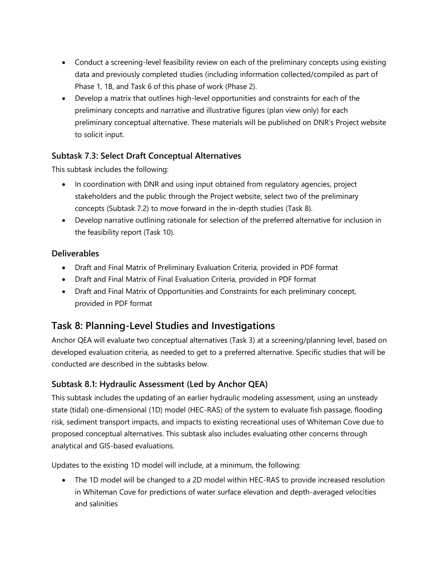- Conduct a screening-level feasibility review on each of the preliminary concepts using existing data and previously completed studies (including information collected/compiled as part of Phase 1, 1B, and Task 6 of this phase of work (Phase 2).
- Develop a matrix that outlines high-level opportunities and constraints for each of the preliminary concepts and narrative and illustrative figures (plan view only) for each preliminary conceptual alternative. These materials will be published on DNR's Project website to solicit input.

### **Subtask 7.3: Select Draft Conceptual Alternatives**

This subtask includes the following:

- In coordination with DNR and using input obtained from regulatory agencies, project stakeholders and the public through the Project website, select two of the preliminary concepts (Subtask 7.2) to move forward in the in-depth studies (Task 8).
- Develop narrative outlining rationale for selection of the preferred alternative for inclusion in the feasibility report (Task 10).

### **Deliverables**

- Draft and Final Matrix of Preliminary Evaluation Criteria, provided in PDF format
- Draft and Final Matrix of Final Evaluation Criteria, provided in PDF format
- Draft and Final Matrix of Opportunities and Constraints for each preliminary concept, provided in PDF format

## **Task 8: Planning-Level Studies and Investigations**

Anchor QEA will evaluate two conceptual alternatives (Task 3) at a screening/planning level, based on developed evaluation criteria, as needed to get to a preferred alternative. Specific studies that will be conducted are described in the subtasks below.

### **Subtask 8.1: Hydraulic Assessment (Led by Anchor QEA)**

This subtask includes the updating of an earlier hydraulic modeling assessment, using an unsteady state (tidal) one-dimensional (1D) model (HEC-RAS) of the system to evaluate fish passage, flooding risk, sediment transport impacts, and impacts to existing recreational uses of Whiteman Cove due to proposed conceptual alternatives. This subtask also includes evaluating other concerns through analytical and GIS-based evaluations.

Updates to the existing 1D model will include, at a minimum, the following:

• The 1D model will be changed to a 2D model within HEC-RAS to provide increased resolution in Whiteman Cove for predictions of water surface elevation and depth-averaged velocities and salinities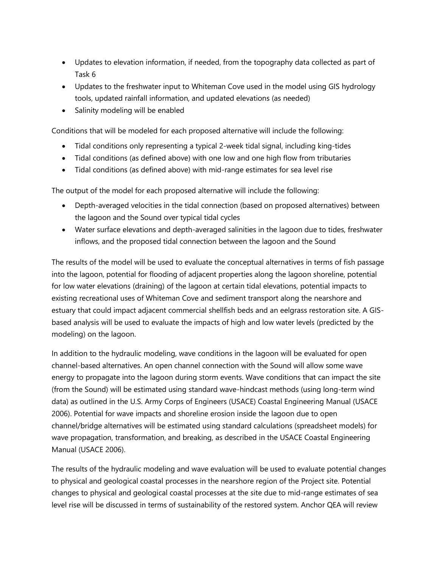- Updates to elevation information, if needed, from the topography data collected as part of Task 6
- Updates to the freshwater input to Whiteman Cove used in the model using GIS hydrology tools, updated rainfall information, and updated elevations (as needed)
- Salinity modeling will be enabled

Conditions that will be modeled for each proposed alternative will include the following:

- Tidal conditions only representing a typical 2-week tidal signal, including king-tides
- Tidal conditions (as defined above) with one low and one high flow from tributaries
- Tidal conditions (as defined above) with mid-range estimates for sea level rise

The output of the model for each proposed alternative will include the following:

- Depth-averaged velocities in the tidal connection (based on proposed alternatives) between the lagoon and the Sound over typical tidal cycles
- Water surface elevations and depth-averaged salinities in the lagoon due to tides, freshwater inflows, and the proposed tidal connection between the lagoon and the Sound

The results of the model will be used to evaluate the conceptual alternatives in terms of fish passage into the lagoon, potential for flooding of adjacent properties along the lagoon shoreline, potential for low water elevations (draining) of the lagoon at certain tidal elevations, potential impacts to existing recreational uses of Whiteman Cove and sediment transport along the nearshore and estuary that could impact adjacent commercial shellfish beds and an eelgrass restoration site. A GISbased analysis will be used to evaluate the impacts of high and low water levels (predicted by the modeling) on the lagoon.

In addition to the hydraulic modeling, wave conditions in the lagoon will be evaluated for open channel-based alternatives. An open channel connection with the Sound will allow some wave energy to propagate into the lagoon during storm events. Wave conditions that can impact the site (from the Sound) will be estimated using standard wave-hindcast methods (using long-term wind data) as outlined in the U.S. Army Corps of Engineers (USACE) Coastal Engineering Manual (USACE 2006). Potential for wave impacts and shoreline erosion inside the lagoon due to open channel/bridge alternatives will be estimated using standard calculations (spreadsheet models) for wave propagation, transformation, and breaking, as described in the USACE Coastal Engineering Manual (USACE 2006).

The results of the hydraulic modeling and wave evaluation will be used to evaluate potential changes to physical and geological coastal processes in the nearshore region of the Project site. Potential changes to physical and geological coastal processes at the site due to mid-range estimates of sea level rise will be discussed in terms of sustainability of the restored system. Anchor QEA will review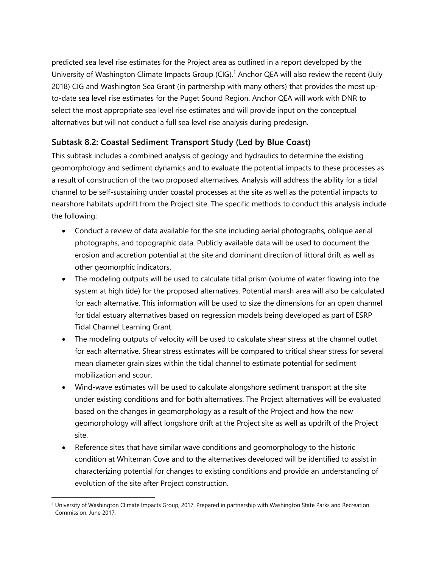predicted sea level rise estimates for the Project area as outlined in a report developed by the University of Washington Climate Impacts Group (CIG).<sup>1</sup> Anchor QEA will also review the recent (July 2018) CIG and Washington Sea Grant (in partnership with many others) that provides the most upto-date sea level rise estimates for the Puget Sound Region. Anchor QEA will work with DNR to select the most appropriate sea level rise estimates and will provide input on the conceptual alternatives but will not conduct a full sea level rise analysis during predesign.

### **Subtask 8.2: Coastal Sediment Transport Study (Led by Blue Coast)**

This subtask includes a combined analysis of geology and hydraulics to determine the existing geomorphology and sediment dynamics and to evaluate the potential impacts to these processes as a result of construction of the two proposed alternatives. Analysis will address the ability for a tidal channel to be self-sustaining under coastal processes at the site as well as the potential impacts to nearshore habitats updrift from the Project site. The specific methods to conduct this analysis include the following:

- Conduct a review of data available for the site including aerial photographs, oblique aerial photographs, and topographic data. Publicly available data will be used to document the erosion and accretion potential at the site and dominant direction of littoral drift as well as other geomorphic indicators.
- The modeling outputs will be used to calculate tidal prism (volume of water flowing into the system at high tide) for the proposed alternatives. Potential marsh area will also be calculated for each alternative. This information will be used to size the dimensions for an open channel for tidal estuary alternatives based on regression models being developed as part of ESRP Tidal Channel Learning Grant.
- The modeling outputs of velocity will be used to calculate shear stress at the channel outlet for each alternative. Shear stress estimates will be compared to critical shear stress for several mean diameter grain sizes within the tidal channel to estimate potential for sediment mobilization and scour.
- Wind-wave estimates will be used to calculate alongshore sediment transport at the site under existing conditions and for both alternatives. The Project alternatives will be evaluated based on the changes in geomorphology as a result of the Project and how the new geomorphology will affect longshore drift at the Project site as well as updrift of the Project site.
- Reference sites that have similar wave conditions and geomorphology to the historic condition at Whiteman Cove and to the alternatives developed will be identified to assist in characterizing potential for changes to existing conditions and provide an understanding of evolution of the site after Project construction.

 $\overline{\phantom{a}}$ <sup>1</sup> University of Washington Climate Impacts Group, 2017. Prepared in partnership with Washington State Parks and Recreation Commission. June 2017.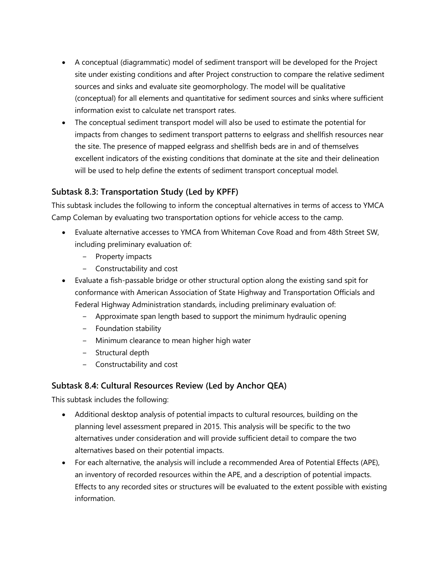- A conceptual (diagrammatic) model of sediment transport will be developed for the Project site under existing conditions and after Project construction to compare the relative sediment sources and sinks and evaluate site geomorphology. The model will be qualitative (conceptual) for all elements and quantitative for sediment sources and sinks where sufficient information exist to calculate net transport rates.
- The conceptual sediment transport model will also be used to estimate the potential for impacts from changes to sediment transport patterns to eelgrass and shellfish resources near the site. The presence of mapped eelgrass and shellfish beds are in and of themselves excellent indicators of the existing conditions that dominate at the site and their delineation will be used to help define the extents of sediment transport conceptual model.

### **Subtask 8.3: Transportation Study (Led by KPFF)**

This subtask includes the following to inform the conceptual alternatives in terms of access to YMCA Camp Coleman by evaluating two transportation options for vehicle access to the camp.

- Evaluate alternative accesses to YMCA from Whiteman Cove Road and from 48th Street SW, including preliminary evaluation of:
	- ‒ Property impacts
	- ‒ Constructability and cost
- Evaluate a fish-passable bridge or other structural option along the existing sand spit for conformance with American Association of State Highway and Transportation Officials and Federal Highway Administration standards, including preliminary evaluation of:
	- Approximate span length based to support the minimum hydraulic opening
	- ‒ Foundation stability
	- Minimum clearance to mean higher high water
	- ‒ Structural depth
	- ‒ Constructability and cost

#### **Subtask 8.4: Cultural Resources Review (Led by Anchor QEA)**

This subtask includes the following:

- Additional desktop analysis of potential impacts to cultural resources, building on the planning level assessment prepared in 2015. This analysis will be specific to the two alternatives under consideration and will provide sufficient detail to compare the two alternatives based on their potential impacts.
- For each alternative, the analysis will include a recommended Area of Potential Effects (APE), an inventory of recorded resources within the APE, and a description of potential impacts. Effects to any recorded sites or structures will be evaluated to the extent possible with existing information.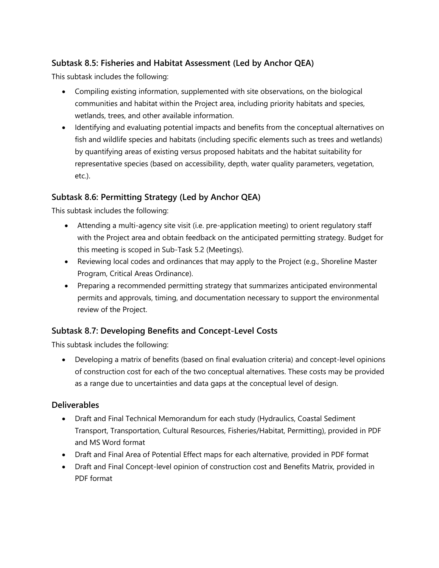### **Subtask 8.5: Fisheries and Habitat Assessment (Led by Anchor QEA)**

This subtask includes the following:

- Compiling existing information, supplemented with site observations, on the biological communities and habitat within the Project area, including priority habitats and species, wetlands, trees, and other available information.
- Identifying and evaluating potential impacts and benefits from the conceptual alternatives on fish and wildlife species and habitats (including specific elements such as trees and wetlands) by quantifying areas of existing versus proposed habitats and the habitat suitability for representative species (based on accessibility, depth, water quality parameters, vegetation, etc.).

#### **Subtask 8.6: Permitting Strategy (Led by Anchor QEA)**

This subtask includes the following:

- Attending a multi-agency site visit (i.e. pre-application meeting) to orient regulatory staff with the Project area and obtain feedback on the anticipated permitting strategy. Budget for this meeting is scoped in Sub-Task 5.2 (Meetings).
- Reviewing local codes and ordinances that may apply to the Project (e.g., Shoreline Master Program, Critical Areas Ordinance).
- Preparing a recommended permitting strategy that summarizes anticipated environmental permits and approvals, timing, and documentation necessary to support the environmental review of the Project.

#### **Subtask 8.7: Developing Benefits and Concept-Level Costs**

This subtask includes the following:

 Developing a matrix of benefits (based on final evaluation criteria) and concept-level opinions of construction cost for each of the two conceptual alternatives. These costs may be provided as a range due to uncertainties and data gaps at the conceptual level of design.

#### **Deliverables**

- Draft and Final Technical Memorandum for each study (Hydraulics, Coastal Sediment Transport, Transportation, Cultural Resources, Fisheries/Habitat, Permitting), provided in PDF and MS Word format
- Draft and Final Area of Potential Effect maps for each alternative, provided in PDF format
- Draft and Final Concept-level opinion of construction cost and Benefits Matrix, provided in PDF format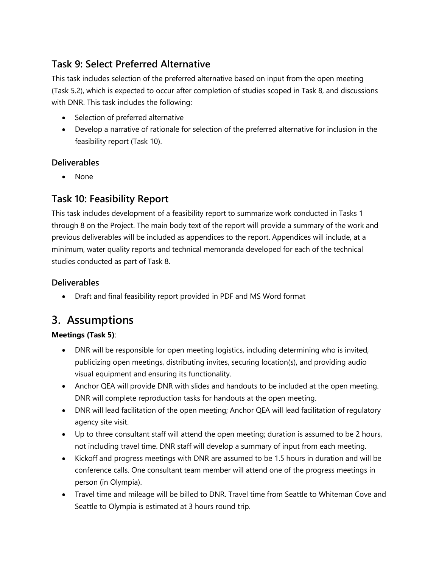# **Task 9: Select Preferred Alternative**

This task includes selection of the preferred alternative based on input from the open meeting (Task 5.2), which is expected to occur after completion of studies scoped in Task 8, and discussions with DNR. This task includes the following:

- Selection of preferred alternative
- Develop a narrative of rationale for selection of the preferred alternative for inclusion in the feasibility report (Task 10).

### **Deliverables**

None

## **Task 10: Feasibility Report**

This task includes development of a feasibility report to summarize work conducted in Tasks 1 through 8 on the Project. The main body text of the report will provide a summary of the work and previous deliverables will be included as appendices to the report. Appendices will include, at a minimum, water quality reports and technical memoranda developed for each of the technical studies conducted as part of Task 8.

#### **Deliverables**

Draft and final feasibility report provided in PDF and MS Word format

# **3. Assumptions**

#### **Meetings (Task 5)**:

- DNR will be responsible for open meeting logistics, including determining who is invited, publicizing open meetings, distributing invites, securing location(s), and providing audio visual equipment and ensuring its functionality.
- Anchor QEA will provide DNR with slides and handouts to be included at the open meeting. DNR will complete reproduction tasks for handouts at the open meeting.
- DNR will lead facilitation of the open meeting; Anchor QEA will lead facilitation of regulatory agency site visit.
- Up to three consultant staff will attend the open meeting; duration is assumed to be 2 hours, not including travel time. DNR staff will develop a summary of input from each meeting.
- Kickoff and progress meetings with DNR are assumed to be 1.5 hours in duration and will be conference calls. One consultant team member will attend one of the progress meetings in person (in Olympia).
- Travel time and mileage will be billed to DNR. Travel time from Seattle to Whiteman Cove and Seattle to Olympia is estimated at 3 hours round trip.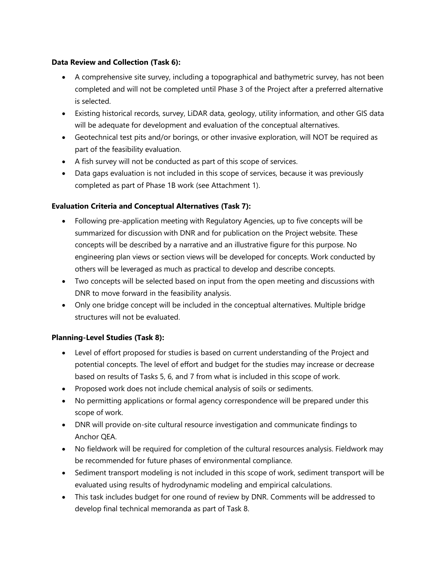#### **Data Review and Collection (Task 6):**

- A comprehensive site survey, including a topographical and bathymetric survey, has not been completed and will not be completed until Phase 3 of the Project after a preferred alternative is selected.
- Existing historical records, survey, LiDAR data, geology, utility information, and other GIS data will be adequate for development and evaluation of the conceptual alternatives.
- Geotechnical test pits and/or borings, or other invasive exploration, will NOT be required as part of the feasibility evaluation.
- A fish survey will not be conducted as part of this scope of services.
- Data gaps evaluation is not included in this scope of services, because it was previously completed as part of Phase 1B work (see Attachment 1).

#### **Evaluation Criteria and Conceptual Alternatives (Task 7):**

- Following pre-application meeting with Regulatory Agencies, up to five concepts will be summarized for discussion with DNR and for publication on the Project website. These concepts will be described by a narrative and an illustrative figure for this purpose. No engineering plan views or section views will be developed for concepts. Work conducted by others will be leveraged as much as practical to develop and describe concepts.
- Two concepts will be selected based on input from the open meeting and discussions with DNR to move forward in the feasibility analysis.
- Only one bridge concept will be included in the conceptual alternatives. Multiple bridge structures will not be evaluated.

#### **Planning-Level Studies (Task 8):**

- Level of effort proposed for studies is based on current understanding of the Project and potential concepts. The level of effort and budget for the studies may increase or decrease based on results of Tasks 5, 6, and 7 from what is included in this scope of work.
- Proposed work does not include chemical analysis of soils or sediments.
- No permitting applications or formal agency correspondence will be prepared under this scope of work.
- DNR will provide on-site cultural resource investigation and communicate findings to Anchor QEA.
- No fieldwork will be required for completion of the cultural resources analysis. Fieldwork may be recommended for future phases of environmental compliance.
- Sediment transport modeling is not included in this scope of work, sediment transport will be evaluated using results of hydrodynamic modeling and empirical calculations.
- This task includes budget for one round of review by DNR. Comments will be addressed to develop final technical memoranda as part of Task 8.